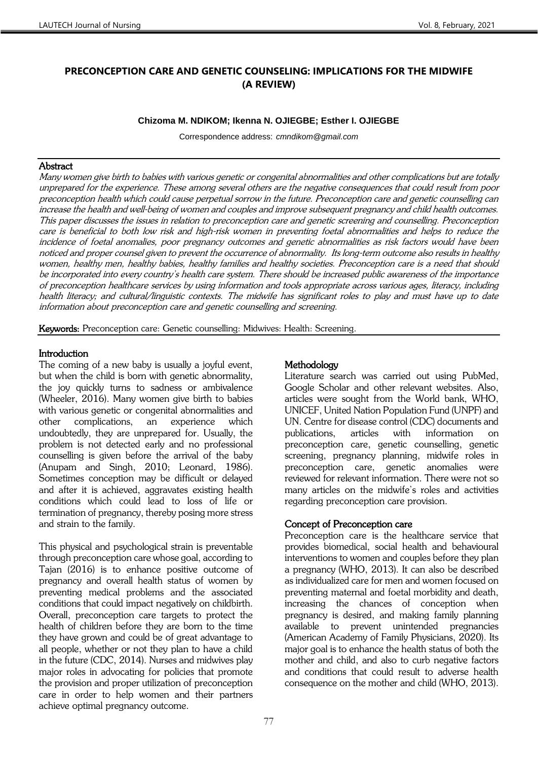# **PRECONCEPTION CARE AND GENETIC COUNSELING: IMPLICATIONS FOR THE MIDWIFE (A REVIEW)**

#### **Chizoma M. NDIKOM; Ikenna N. OJIEGBE; Esther I. OJIEGBE**

Correspondence address: *cmndikom@gmail.com*

## **Abstract**

Many women give birth to babies with various genetic or congenital abnormalities and other complications but are totally unprepared for the experience. These among several others are the negative consequences that could result from poor preconception health which could cause perpetual sorrow in the future. Preconception care and genetic counselling can increase the health and well-being of women and couples and improve subsequent pregnancy and child health outcomes. This paper discusses the issues in relation to preconception care and genetic screening and counselling. Preconception care is beneficial to both low risk and high-risk women in preventing foetal abnormalities and helps to reduce the incidence of foetal anomalies, poor pregnancy outcomes and genetic abnormalities as risk factors would have been noticed and proper counsel given to prevent the occurrence of abnormality. Its long-term outcome also results in healthy women, healthy men, healthy babies, healthy families and healthy societies. Preconception care is a need that should be incorporated into every country's health care system. There should be increased public awareness of the importance of preconception healthcare services by using information and tools appropriate across various ages, literacy, including health literacy; and cultural/linguistic contexts. The midwife has significant roles to play and must have up to date information about preconception care and genetic counselling and screening.

Keywords: Preconception care: Genetic counselling: Midwives: Health: Screening.

## **Introduction**

The coming of a new baby is usually a joyful event, but when the child is born with genetic abnormality, the joy quickly turns to sadness or ambivalence (Wheeler, 2016). Many women give birth to babies with various genetic or congenital abnormalities and other complications, an experience which undoubtedly, they are unprepared for. Usually, the problem is not detected early and no professional counselling is given before the arrival of the baby (Anupam and Singh, 2010; Leonard, 1986). Sometimes conception may be difficult or delayed and after it is achieved, aggravates existing health conditions which could lead to loss of life or termination of pregnancy, thereby posing more stress and strain to the family.

This physical and psychological strain is preventable through preconception care whose goal, according to Tajan (2016) is to enhance positive outcome of pregnancy and overall health status of women by preventing medical problems and the associated conditions that could impact negatively on childbirth. Overall, preconception care targets to protect the health of children before they are born to the time they have grown and could be of great advantage to all people, whether or not they plan to have a child in the future (CDC, 2014). Nurses and midwives play major roles in advocating for policies that promote the provision and proper utilization of preconception care in order to help women and their partners achieve optimal pregnancy outcome.

## **Methodology**

Literature search was carried out using PubMed, Google Scholar and other relevant websites. Also, articles were sought from the World bank, WHO, UNICEF, United Nation Population Fund (UNPF) and UN. Centre for disease control (CDC) documents and publications, articles with information on preconception care, genetic counselling, genetic screening, pregnancy planning, midwife roles in preconception care, genetic anomalies were reviewed for relevant information. There were not so many articles on the midwife's roles and activities regarding preconception care provision.

## Concept of Preconception care

Preconception care is the healthcare service that provides biomedical, social health and behavioural interventions to women and couples before they plan a pregnancy (WHO, 2013). It can also be described as individualized care for men and women focused on preventing maternal and foetal morbidity and death, increasing the chances of conception when pregnancy is desired, and making family planning available to prevent unintended pregnancies (American Academy of Family Physicians, 2020). Its major goal is to enhance the health status of both the mother and child, and also to curb negative factors and conditions that could result to adverse health consequence on the mother and child (WHO, 2013).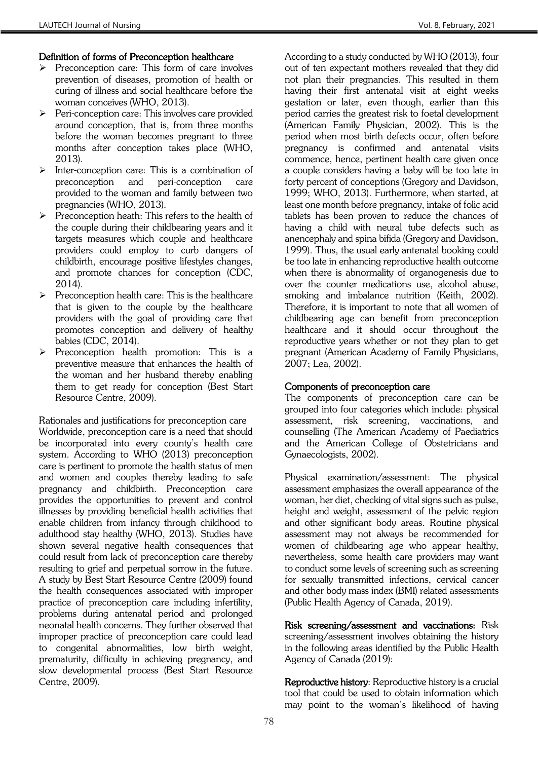## Definition of forms of Preconception healthcare

- ➢ Preconception care: This form of care involves prevention of diseases, promotion of health or curing of illness and social healthcare before the woman conceives (WHO, 2013).
- ➢ Peri-conception care: This involves care provided around conception, that is, from three months before the woman becomes pregnant to three months after conception takes place (WHO, 2013).
- ➢ Inter-conception care: This is a combination of preconception and peri-conception care provided to the woman and family between two pregnancies (WHO, 2013).
- ➢ Preconception heath: This refers to the health of the couple during their childbearing years and it targets measures which couple and healthcare providers could employ to curb dangers of childbirth, encourage positive lifestyles changes, and promote chances for conception (CDC, 2014).
- ➢ Preconception health care: This is the healthcare that is given to the couple by the healthcare providers with the goal of providing care that promotes conception and delivery of healthy babies (CDC, 2014).
- ➢ Preconception health promotion: This is a preventive measure that enhances the health of the woman and her husband thereby enabling them to get ready for conception (Best Start Resource Centre, 2009).

Rationales and justifications for preconception care Worldwide, preconception care is a need that should be incorporated into every county's health care system. According to WHO (2013) preconception care is pertinent to promote the health status of men and women and couples thereby leading to safe pregnancy and childbirth. Preconception care provides the opportunities to prevent and control illnesses by providing beneficial health activities that enable children from infancy through childhood to adulthood stay healthy (WHO, 2013). Studies have shown several negative health consequences that could result from lack of preconception care thereby resulting to grief and perpetual sorrow in the future. A study by Best Start Resource Centre (2009) found the health consequences associated with improper practice of preconception care including infertility, problems during antenatal period and prolonged neonatal health concerns. They further observed that improper practice of preconception care could lead to congenital abnormalities, low birth weight, prematurity, difficulty in achieving pregnancy, and slow developmental process (Best Start Resource Centre, 2009).

According to a study conducted by WHO (2013), four out of ten expectant mothers revealed that they did not plan their pregnancies. This resulted in them having their first antenatal visit at eight weeks gestation or later, even though, earlier than this period carries the greatest risk to foetal development (American Family Physician, 2002). This is the period when most birth defects occur, often before pregnancy is confirmed and antenatal visits commence, hence, pertinent health care given once a couple considers having a baby will be too late in forty percent of conceptions (Gregory and Davidson, 1999; WHO, 2013). Furthermore, when started, at least one month before pregnancy, intake of folic acid tablets has been proven to reduce the chances of having a child with neural tube defects such as anencephaly and spina bifida (Gregory and Davidson, 1999). Thus, the usual early antenatal booking could be too late in enhancing reproductive health outcome when there is abnormality of organogenesis due to over the counter medications use, alcohol abuse, smoking and imbalance nutrition (Keith, 2002). Therefore, it is important to note that all women of childbearing age can benefit from preconception healthcare and it should occur throughout the reproductive years whether or not they plan to get pregnant (American Academy of Family Physicians, 2007; Lea, 2002).

## Components of preconception care

The components of preconception care can be grouped into four categories which include: physical assessment, risk screening, vaccinations, and counselling (The American Academy of Paediatrics and the American College of Obstetricians and Gynaecologists, 2002).

Physical examination/assessment: The physical assessment emphasizes the overall appearance of the woman, her diet, checking of vital signs such as pulse, height and weight, assessment of the pelvic region and other significant body areas. Routine physical assessment may not always be recommended for women of childbearing age who appear healthy, nevertheless, some health care providers may want to conduct some levels of screening such as screening for sexually transmitted infections, cervical cancer and other body mass index (BMI) related assessments (Public Health Agency of Canada, 2019).

Risk screening/assessment and vaccinations: Risk screening/assessment involves obtaining the history in the following areas identified by the Public Health Agency of Canada (2019):

Reproductive history: Reproductive history is a crucial tool that could be used to obtain information which may point to the woman's likelihood of having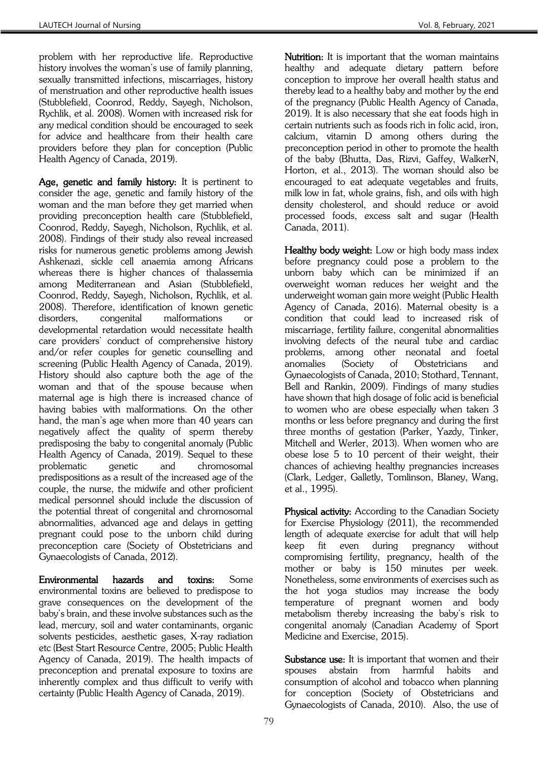problem with her reproductive life. Reproductive history involves the woman's use of family planning, sexually transmitted infections, miscarriages, history of menstruation and other reproductive health issues (Stubblefield, Coonrod, Reddy, Sayegh, Nicholson, Rychlik, et al. 2008). Women with increased risk for any medical condition should be encouraged to seek for advice and healthcare from their health care providers before they plan for conception (Public Health Agency of Canada, 2019).

Age, genetic and family history: It is pertinent to consider the age, genetic and family history of the woman and the man before they get married when providing preconception health care (Stubblefield, Coonrod, Reddy, Sayegh, Nicholson, Rychlik, et al. 2008). Findings of their study also reveal increased risks for numerous genetic problems among Jewish Ashkenazi, sickle cell anaemia among Africans whereas there is higher chances of thalassemia among Mediterranean and Asian (Stubblefield, Coonrod, Reddy, Sayegh, Nicholson, Rychlik, et al. 2008). Therefore, identification of known genetic disorders, congenital malformations or developmental retardation would necessitate health care providers' conduct of comprehensive history and/or refer couples for genetic counselling and screening (Public Health Agency of Canada, 2019). History should also capture both the age of the woman and that of the spouse because when maternal age is high there is increased chance of having babies with malformations. On the other hand, the man's age when more than 40 years can negatively affect the quality of sperm thereby predisposing the baby to congenital anomaly (Public Health Agency of Canada, 2019). Sequel to these problematic genetic and chromosomal predispositions as a result of the increased age of the couple, the nurse, the midwife and other proficient medical personnel should include the discussion of the potential threat of congenital and chromosomal abnormalities, advanced age and delays in getting pregnant could pose to the unborn child during preconception care (Society of Obstetricians and Gynaecologists of Canada, 2012).

Environmental hazards and toxins: Some environmental toxins are believed to predispose to grave consequences on the development of the baby's brain, and these involve substances such as the lead, mercury, soil and water contaminants, organic solvents pesticides, aesthetic gases, X-ray radiation etc (Best Start Resource Centre, 2005; Public Health Agency of Canada, 2019). The health impacts of preconception and prenatal exposure to toxins are inherently complex and thus difficult to verify with certainty (Public Health Agency of Canada, 2019).

Nutrition: It is important that the woman maintains healthy and adequate dietary pattern before conception to improve her overall health status and thereby lead to a healthy baby and mother by the end of the pregnancy (Public Health Agency of Canada, 2019). It is also necessary that she eat foods high in certain nutrients such as foods rich in folic acid, iron, calcium, vitamin D among others during the preconception period in other to promote the health of the baby (Bhutta, Das, Rizvi, Gaffey, WalkerN, Horton, et al., 2013). The woman should also be encouraged to eat adequate vegetables and fruits, milk low in fat, whole grains, fish, and oils with high density cholesterol, and should reduce or avoid processed foods, excess salt and sugar (Health Canada, 2011).

Healthy body weight: Low or high body mass index before pregnancy could pose a problem to the unborn baby which can be minimized if an overweight woman reduces her weight and the underweight woman gain more weight (Public Health Agency of Canada, 2016). Maternal obesity is a condition that could lead to increased risk of miscarriage, fertility failure, congenital abnormalities involving defects of the neural tube and cardiac problems, among other neonatal and foetal anomalies (Society of Obstetricians and Gynaecologists of Canada, 2010; Stothard, Tennant, Bell and Rankin, 2009). Findings of many studies have shown that high dosage of folic acid is beneficial to women who are obese especially when taken 3 months or less before pregnancy and during the first three months of gestation (Parker, Yazdy, Tinker, Mitchell and Werler, 2013). When women who are obese lose 5 to 10 percent of their weight, their chances of achieving healthy pregnancies increases (Clark, Ledger, Galletly, Tomlinson, Blaney, Wang, et al., 1995).

Physical activity: According to the Canadian Society for Exercise Physiology (2011), the recommended length of adequate exercise for adult that will help keep fit even during pregnancy without compromising fertility, pregnancy, health of the mother or baby is 150 minutes per week. Nonetheless, some environments of exercises such as the hot yoga studios may increase the body temperature of pregnant women and body metabolism thereby increasing the baby's risk to congenital anomaly (Canadian Academy of Sport Medicine and Exercise, 2015).

Substance use: It is important that women and their spouses abstain from harmful habits and consumption of alcohol and tobacco when planning for conception (Society of Obstetricians and Gynaecologists of Canada, 2010). Also, the use of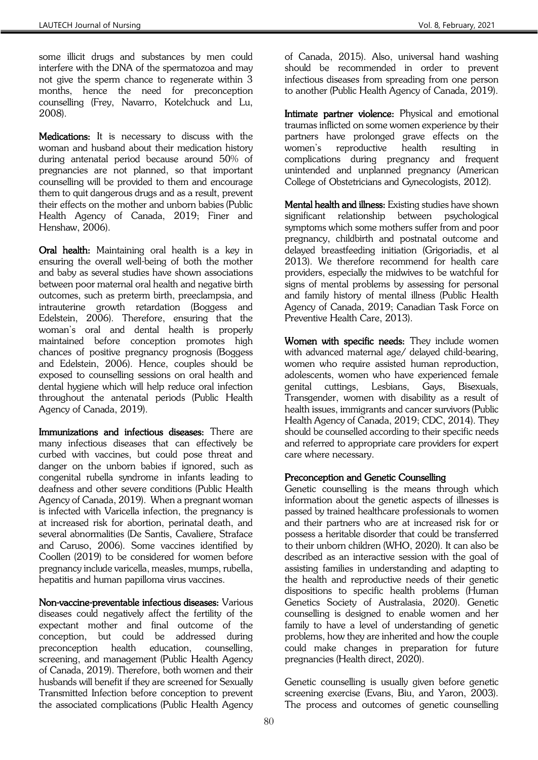some illicit drugs and substances by men could interfere with the DNA of the spermatozoa and may not give the sperm chance to regenerate within 3 months, hence the need for preconception counselling (Frey, Navarro, Kotelchuck and Lu, 2008).

Medications: It is necessary to discuss with the woman and husband about their medication history during antenatal period because around 50% of pregnancies are not planned, so that important counselling will be provided to them and encourage them to quit dangerous drugs and as a result, prevent their effects on the mother and unborn babies (Public Health Agency of Canada, 2019; Finer and Henshaw, 2006).

Oral health: Maintaining oral health is a key in ensuring the overall well-being of both the mother and baby as several studies have shown associations between poor maternal oral health and negative birth outcomes, such as preterm birth, preeclampsia, and intrauterine growth retardation (Boggess and Edelstein, 2006). Therefore, ensuring that the woman's oral and dental health is properly maintained before conception promotes high chances of positive pregnancy prognosis (Boggess and Edelstein, 2006). Hence, couples should be exposed to counselling sessions on oral health and dental hygiene which will help reduce oral infection throughout the antenatal periods (Public Health Agency of Canada, 2019).

Immunizations and infectious diseases: There are many infectious diseases that can effectively be curbed with vaccines, but could pose threat and danger on the unborn babies if ignored, such as congenital rubella syndrome in infants leading to deafness and other severe conditions (Public Health Agency of Canada, 2019). When a pregnant woman is infected with Varicella infection, the pregnancy is at increased risk for abortion, perinatal death, and several abnormalities (De Santis, Cavaliere, Straface and Caruso, 2006). Some vaccines identified by Coollen (2019) to be considered for women before pregnancy include varicella, measles, mumps, rubella, hepatitis and human papilloma virus vaccines.

Non-vaccine-preventable infectious diseases: Various diseases could negatively affect the fertility of the expectant mother and final outcome of the conception, but could be addressed during preconception health education, counselling, screening, and management (Public Health Agency of Canada, 2019). Therefore, both women and their husbands will benefit if they are screened for Sexually Transmitted Infection before conception to prevent the associated complications (Public Health Agency

of Canada, 2015). Also, universal hand washing should be recommended in order to prevent infectious diseases from spreading from one person to another (Public Health Agency of Canada, 2019).

Intimate partner violence: Physical and emotional traumas inflicted on some women experience by their partners have prolonged grave effects on the women's reproductive health resulting in complications during pregnancy and frequent unintended and unplanned pregnancy (American College of Obstetricians and Gynecologists, 2012).

Mental health and illness: Existing studies have shown significant relationship between psychological symptoms which some mothers suffer from and poor pregnancy, childbirth and postnatal outcome and delayed breastfeeding initiation (Grigoriadis, et al 2013). We therefore recommend for health care providers, especially the midwives to be watchful for signs of mental problems by assessing for personal and family history of mental illness (Public Health Agency of Canada, 2019; Canadian Task Force on Preventive Health Care, 2013).

Women with specific needs: They include women with advanced maternal age/ delayed child-bearing, women who require assisted human reproduction, adolescents, women who have experienced female genital cuttings, Lesbians, Gays, Bisexuals, Transgender, women with disability as a result of health issues, immigrants and cancer survivors (Public Health Agency of Canada, 2019; CDC, 2014). They should be counselled according to their specific needs and referred to appropriate care providers for expert care where necessary.

## Preconception and Genetic Counselling

Genetic counselling is the means through which information about the genetic aspects of illnesses is passed by trained healthcare professionals to women and their partners who are at increased risk for or possess a heritable disorder that could be transferred to their unborn children (WHO, 2020). It can also be described as an interactive session with the goal of assisting families in understanding and adapting to the health and reproductive needs of their genetic dispositions to specific health problems (Human Genetics Society of Australasia, 2020). Genetic counselling is designed to enable women and her family to have a level of understanding of genetic problems, how they are inherited and how the couple could make changes in preparation for future pregnancies (Health direct, 2020).

Genetic counselling is usually given before genetic screening exercise (Evans, Biu, and Yaron, 2003). The process and outcomes of genetic counselling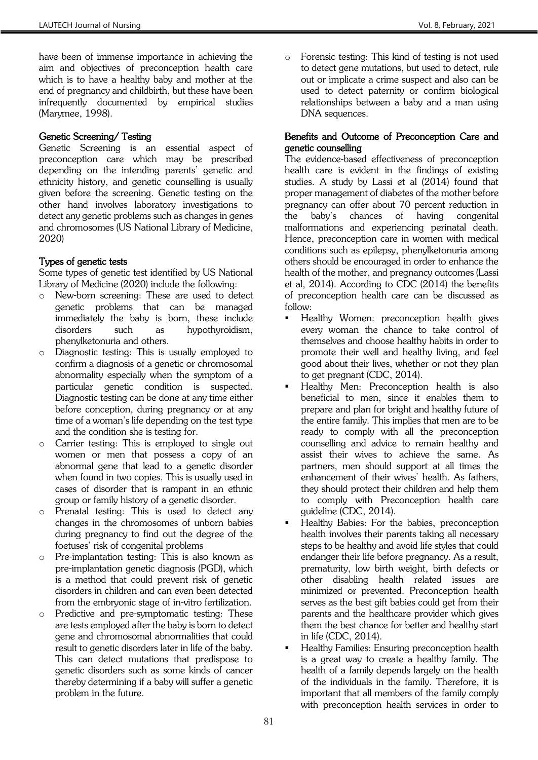have been of immense importance in achieving the aim and objectives of preconception health care which is to have a healthy baby and mother at the end of pregnancy and childbirth, but these have been infrequently documented by empirical studies (Marymee, 1998).

## Genetic Screening/ Testing

Genetic Screening is an essential aspect of preconception care which may be prescribed depending on the intending parents' genetic and ethnicity history, and genetic counselling is usually given before the screening. Genetic testing on the other hand involves laboratory investigations to detect any genetic problems such as changes in genes and chromosomes (US National Library of Medicine, 2020)

## Types of genetic tests

Some types of genetic test identified by US National Library of Medicine (2020) include the following:

- o New-born screening: These are used to detect genetic problems that can be managed immediately the baby is born, these include disorders such as hypothyroidism, phenylketonuria and others.
- o Diagnostic testing: This is usually employed to confirm a diagnosis of a genetic or chromosomal abnormality especially when the symptom of a particular genetic condition is suspected. Diagnostic testing can be done at any time either before conception, during pregnancy or at any time of a woman's life depending on the test type and the condition she is testing for.
- o Carrier testing: This is employed to single out women or men that possess a copy of an abnormal gene that lead to a genetic disorder when found in two copies. This is usually used in cases of disorder that is rampant in an ethnic group or family history of a genetic disorder.
- o Prenatal testing: This is used to detect any changes in the chromosomes of unborn babies during pregnancy to find out the degree of the foetuses' risk of congenital problems
- o Pre-implantation testing: This is also known as pre-implantation genetic diagnosis (PGD), which is a method that could prevent risk of genetic disorders in children and can even been detected from the embryonic stage of in-vitro fertilization.
- o Predictive and pre-symptomatic testing: These are tests employed after the baby is born to detect gene and chromosomal abnormalities that could result to genetic disorders later in life of the baby. This can detect mutations that predispose to genetic disorders such as some kinds of cancer thereby determining if a baby will suffer a genetic problem in the future.

o Forensic testing: This kind of testing is not used to detect gene mutations, but used to detect, rule out or implicate a crime suspect and also can be used to detect paternity or confirm biological relationships between a baby and a man using DNA sequences.

### Benefits and Outcome of Preconception Care and genetic counselling

The evidence-based effectiveness of preconception health care is evident in the findings of existing studies. A study by Lassi et al (2014) found that proper management of diabetes of the mother before pregnancy can offer about 70 percent reduction in the baby's chances of having congenital malformations and experiencing perinatal death. Hence, preconception care in women with medical conditions such as epilepsy, phenylketonuria among others should be encouraged in order to enhance the health of the mother, and pregnancy outcomes (Lassi et al, 2014). According to CDC (2014) the benefits of preconception health care can be discussed as follow:

- Healthy Women: preconception health gives every woman the chance to take control of themselves and choose healthy habits in order to promote their well and healthy living, and feel good about their lives, whether or not they plan to get pregnant (CDC, 2014).
- Healthy Men: Preconception health is also beneficial to men, since it enables them to prepare and plan for bright and healthy future of the entire family. This implies that men are to be ready to comply with all the preconception counselling and advice to remain healthy and assist their wives to achieve the same. As partners, men should support at all times the enhancement of their wives' health. As fathers, they should protect their children and help them to comply with Preconception health care guideline (CDC, 2014).
- Healthy Babies: For the babies, preconception health involves their parents taking all necessary steps to be healthy and avoid life styles that could endanger their life before pregnancy. As a result, prematurity, low birth weight, birth defects or other disabling health related issues are minimized or prevented. Preconception health serves as the best gift babies could get from their parents and the healthcare provider which gives them the best chance for better and healthy start in life (CDC, 2014).
- Healthy Families: Ensuring preconception health is a great way to create a healthy family. The health of a family depends largely on the health of the individuals in the family. Therefore, it is important that all members of the family comply with preconception health services in order to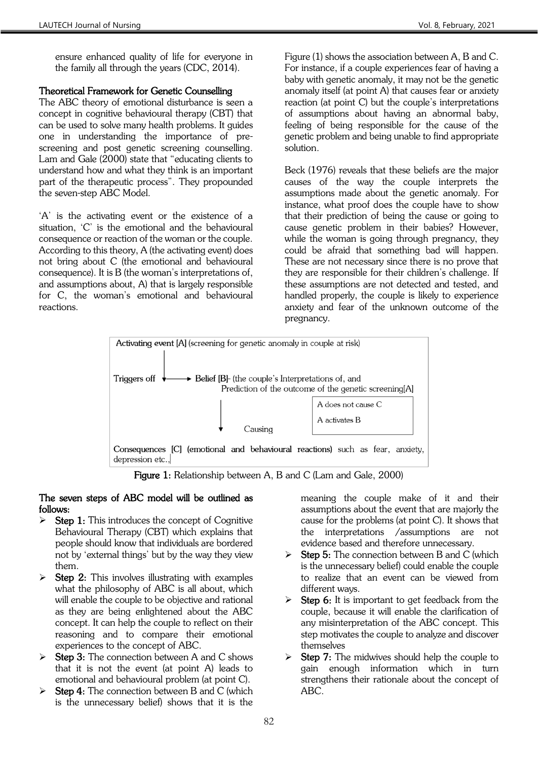ensure enhanced quality of life for everyone in the family all through the years (CDC, 2014).

### Theoretical Framework for Genetic Counselling

The ABC theory of emotional disturbance is seen a concept in cognitive behavioural therapy (CBT) that can be used to solve many health problems. It guides one in understanding the importance of prescreening and post genetic screening counselling. Lam and Gale (2000) state that "educating clients to understand how and what they think is an important part of the therapeutic process". They propounded the seven-step ABC Model.

'A' is the activating event or the existence of a situation, 'C' is the emotional and the behavioural consequence or reaction of the woman or the couple. According to this theory, A (the activating event) does not bring about C (the emotional and behavioural consequence). It is B (the woman's interpretations of, and assumptions about, A) that is largely responsible for C, the woman's emotional and behavioural reactions.

Figure (1) shows the association between A, B and C. For instance, if a couple experiences fear of having a baby with genetic anomaly, it may not be the genetic anomaly itself (at point A) that causes fear or anxiety reaction (at point C) but the couple's interpretations of assumptions about having an abnormal baby, feeling of being responsible for the cause of the genetic problem and being unable to find appropriate solution.

Beck (1976) reveals that these beliefs are the major causes of the way the couple interprets the assumptions made about the genetic anomaly. For instance, what proof does the couple have to show that their prediction of being the cause or going to cause genetic problem in their babies? However, while the woman is going through pregnancy, they could be afraid that something bad will happen. These are not necessary since there is no prove that they are responsible for their children's challenge. If these assumptions are not detected and tested, and handled properly, the couple is likely to experience anxiety and fear of the unknown outcome of the pregnancy.



Figure 1: Relationship between A, B and C (Lam and Gale, 2000)

#### The seven steps of ABC model will be outlined as follows:

- $\triangleright$  Step 1: This introduces the concept of Cognitive Behavioural Therapy (CBT) which explains that people should know that individuals are bordered not by 'external things' but by the way they view them.
- $\triangleright$  Step 2: This involves illustrating with examples what the philosophy of ABC is all about, which will enable the couple to be objective and rational as they are being enlightened about the ABC concept. It can help the couple to reflect on their reasoning and to compare their emotional experiences to the concept of ABC.
- $\triangleright$  Step 3: The connection between A and C shows that it is not the event (at point A) leads to emotional and behavioural problem (at point C).
- $\triangleright$  Step 4: The connection between B and C (which is the unnecessary belief) shows that it is the

meaning the couple make of it and their assumptions about the event that are majorly the cause for the problems (at point C). It shows that the interpretations /assumptions are not evidence based and therefore unnecessary.

- $\triangleright$  Step 5: The connection between B and C (which is the unnecessary belief) could enable the couple to realize that an event can be viewed from different ways.
- **Step 6:** It is important to get feedback from the couple, because it will enable the clarification of any misinterpretation of the ABC concept. This step motivates the couple to analyze and discover themselves
- Step 7: The midwives should help the couple to gain enough information which in turn strengthens their rationale about the concept of ABC.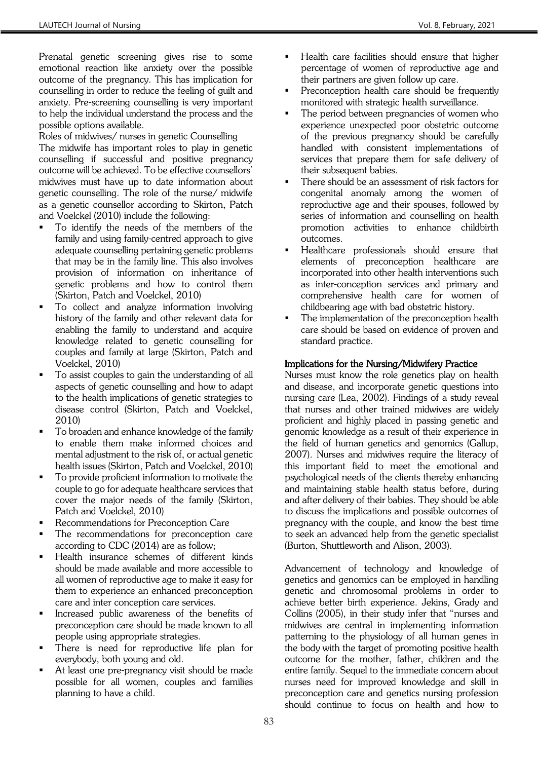Prenatal genetic screening gives rise to some emotional reaction like anxiety over the possible outcome of the pregnancy. This has implication for counselling in order to reduce the feeling of guilt and anxiety. Pre-screening counselling is very important to help the individual understand the process and the possible options available.

Roles of midwives/ nurses in genetic Counselling The midwife has important roles to play in genetic counselling if successful and positive pregnancy outcome will be achieved. To be effective counsellors' midwives must have up to date information about genetic counselling. The role of the nurse/ midwife as a genetic counsellor according to Skirton, Patch and Voelckel (2010) include the following:

- To identify the needs of the members of the family and using family-centred approach to give adequate counselling pertaining genetic problems that may be in the family line. This also involves provision of information on inheritance of genetic problems and how to control them (Skirton, Patch and Voelckel, 2010)
- To collect and analyze information involving history of the family and other relevant data for enabling the family to understand and acquire knowledge related to genetic counselling for couples and family at large (Skirton, Patch and Voelckel, 2010)
- To assist couples to gain the understanding of all aspects of genetic counselling and how to adapt to the health implications of genetic strategies to disease control (Skirton, Patch and Voelckel, 2010)
- To broaden and enhance knowledge of the family to enable them make informed choices and mental adjustment to the risk of, or actual genetic health issues (Skirton, Patch and Voelckel, 2010)
- To provide proficient information to motivate the couple to go for adequate healthcare services that cover the major needs of the family (Skirton, Patch and Voelckel, 2010)
- Recommendations for Preconception Care
- The recommendations for preconception care according to CDC (2014) are as follow;
- Health insurance schemes of different kinds should be made available and more accessible to all women of reproductive age to make it easy for them to experience an enhanced preconception care and inter conception care services.
- Increased public awareness of the benefits of preconception care should be made known to all people using appropriate strategies.
- There is need for reproductive life plan for everybody, both young and old.
- At least one pre-pregnancy visit should be made possible for all women, couples and families planning to have a child.
- Health care facilities should ensure that higher percentage of women of reproductive age and their partners are given follow up care.
- Preconception health care should be frequently monitored with strategic health surveillance.
- The period between pregnancies of women who experience unexpected poor obstetric outcome of the previous pregnancy should be carefully handled with consistent implementations of services that prepare them for safe delivery of their subsequent babies.
- There should be an assessment of risk factors for congenital anomaly among the women of reproductive age and their spouses, followed by series of information and counselling on health promotion activities to enhance childbirth outcomes.
- Healthcare professionals should ensure that elements of preconception healthcare are incorporated into other health interventions such as inter-conception services and primary and comprehensive health care for women of childbearing age with bad obstetric history.
- The implementation of the preconception health care should be based on evidence of proven and standard practice.

## Implications for the Nursing/Midwifery Practice

Nurses must know the role genetics play on health and disease, and incorporate genetic questions into nursing care (Lea, 2002). Findings of a study reveal that nurses and other trained midwives are widely proficient and highly placed in passing genetic and genomic knowledge as a result of their experience in the field of human genetics and genomics (Gallup, 2007). Nurses and midwives require the literacy of this important field to meet the emotional and psychological needs of the clients thereby enhancing and maintaining stable health status before, during and after delivery of their babies. They should be able to discuss the implications and possible outcomes of pregnancy with the couple, and know the best time to seek an advanced help from the genetic specialist (Burton, Shuttleworth and Alison, 2003).

Advancement of technology and knowledge of genetics and genomics can be employed in handling genetic and chromosomal problems in order to achieve better birth experience. Jekins, Grady and Collins (2005), in their study infer that "nurses and midwives are central in implementing information patterning to the physiology of all human genes in the body with the target of promoting positive health outcome for the mother, father, children and the entire family. Sequel to the immediate concern about nurses need for improved knowledge and skill in preconception care and genetics nursing profession should continue to focus on health and how to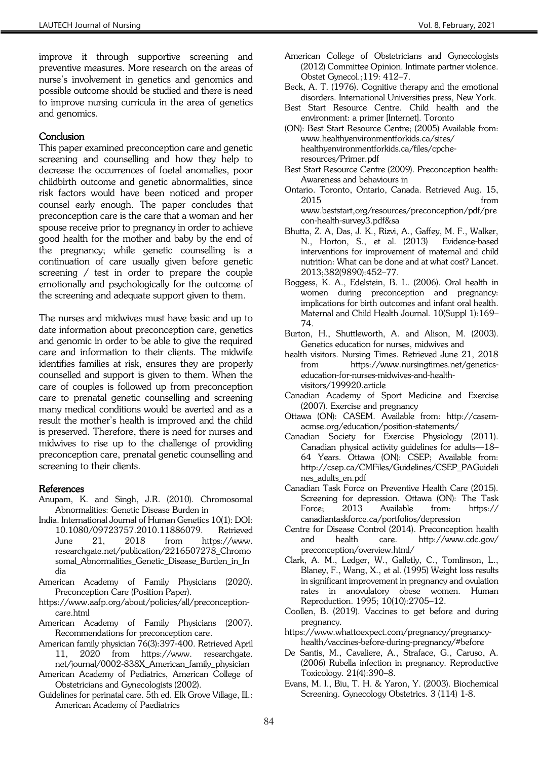improve it through supportive screening and preventive measures. More research on the areas of nurse's involvement in genetics and genomics and possible outcome should be studied and there is need to improve nursing curricula in the area of genetics and genomics.

#### **Conclusion**

This paper examined preconception care and genetic screening and counselling and how they help to decrease the occurrences of foetal anomalies, poor childbirth outcome and genetic abnormalities, since risk factors would have been noticed and proper counsel early enough. The paper concludes that preconception care is the care that a woman and her spouse receive prior to pregnancy in order to achieve good health for the mother and baby by the end of the pregnancy; while genetic counselling is a continuation of care usually given before genetic screening / test in order to prepare the couple emotionally and psychologically for the outcome of the screening and adequate support given to them.

The nurses and midwives must have basic and up to date information about preconception care, genetics and genomic in order to be able to give the required care and information to their clients. The midwife identifies families at risk, ensures they are properly counselled and support is given to them. When the care of couples is followed up from preconception care to prenatal genetic counselling and screening many medical conditions would be averted and as a result the mother's health is improved and the child is preserved. Therefore, there is need for nurses and midwives to rise up to the challenge of providing preconception care, prenatal genetic counselling and screening to their clients.

#### References

- Anupam, K. and Singh, J.R. (2010). Chromosomal Abnormalities: Genetic Disease Burden in
- India. International Journal of Human Genetics 10(1): DOI: 10.1080/09723757.2010.11886079. Retrieved<br>June 21. 2018 from https://www. June 21, 2018 from https://www. researchgate.net/publication/2216507278\_Chromo somal\_Abnormalities\_Genetic\_Disease\_Burden\_in\_In dia
- American Academy of Family Physicians (2020). Preconception Care (Position Paper).
- https://www.aafp.org/about/policies/all/preconceptioncare.html
- American Academy of Family Physicians (2007). Recommendations for preconception care.
- American family physician 76(3):397-400. Retrieved April 11, 2020 from https://www. researchgate. net/journal/0002-838X\_American\_family\_physician
- American Academy of Pediatrics, American College of Obstetricians and Gynecologists (2002).
- Guidelines for perinatal care. 5th ed. Elk Grove Village, Ill.: American Academy of Paediatrics
- American College of Obstetricians and Gynecologists (2012) Committee Opinion. Intimate partner violence. Obstet Gynecol.;119: 412–7.
- Beck, A. T. (1976). Cognitive therapy and the emotional disorders. International Universities press, New York.
- Best Start Resource Centre. Child health and the environment: a primer [Internet]. Toronto
- (ON): Best Start Resource Centre; (2005) Available from: www.healthyenvironmentforkids.ca/sites/ healthyenvironmentforkids.ca/files/cpcheresources/Primer.pdf
- Best Start Resource Centre (2009). Preconception health: Awareness and behaviours in
- Ontario. Toronto, Ontario, Canada. Retrieved Aug. 15, 2015 from www.beststart,org/resources/preconception/pdf/pre con-health-survey3.pdf&sa
- Bhutta, Z. A, Das, J. K., Rizvi, A., Gaffey, M. F., Walker, N., Horton, S., et al. (2013) Evidence-based interventions for improvement of maternal and child nutrition: What can be done and at what cost? Lancet. 2013;382(9890):452–77.
- Boggess, K. A., Edelstein, B. L. (2006). Oral health in women during preconception and pregnancy: implications for birth outcomes and infant oral health. Maternal and Child Health Journal. 10(Suppl 1):169– 74.
- Burton, H., Shuttleworth, A. and Alison, M. (2003). Genetics education for nurses, midwives and
- health visitors. Nursing Times. Retrieved June 21, 2018 from https://www.nursingtimes.net/geneticseducation-for-nurses-midwives-and-healthvisitors/199920.article
- Canadian Academy of Sport Medicine and Exercise (2007). Exercise and pregnancy
- Ottawa (ON): CASEM. Available from: http://casemacmse.org/education/position-statements/
- Canadian Society for Exercise Physiology (2011). Canadian physical activity guidelines for adults—18– 64 Years. Ottawa (ON): CSEP; Available from: http://csep.ca/CMFiles/Guidelines/CSEP\_PAGuideli nes\_adults\_en.pdf
- Canadian Task Force on Preventive Health Care (2015). Screening for depression. Ottawa (ON): The Task Force; 2013 Available from: https:// canadiantaskforce.ca/portfolios/depression
- Centre for Disease Control (2014). Preconception health and health care. http://www.cdc.gov/ preconception/overview.html/
- Clark, A. M., Ledger, W., Galletly, C., Tomlinson, L., Blaney, F., Wang, X., et al. (1995) Weight loss results in significant improvement in pregnancy and ovulation rates in anovulatory obese women. Human Reproduction. 1995; 10(10):2705–12.
- Coollen, B. (2019). Vaccines to get before and during pregnancy.
- https://www.whattoexpect.com/pregnancy/pregnancyhealth/vaccines-before-during-pregnancy/#before
- De Santis, M., Cavaliere, A., Straface, G., Caruso, A. (2006) Rubella infection in pregnancy. Reproductive Toxicology. 21(4):390–8.
- Evans, M. I., Biu, T. H. & Yaron, Y. (2003). Biochemical Screening. Gynecology Obstetrics. 3 (114) 1-8.